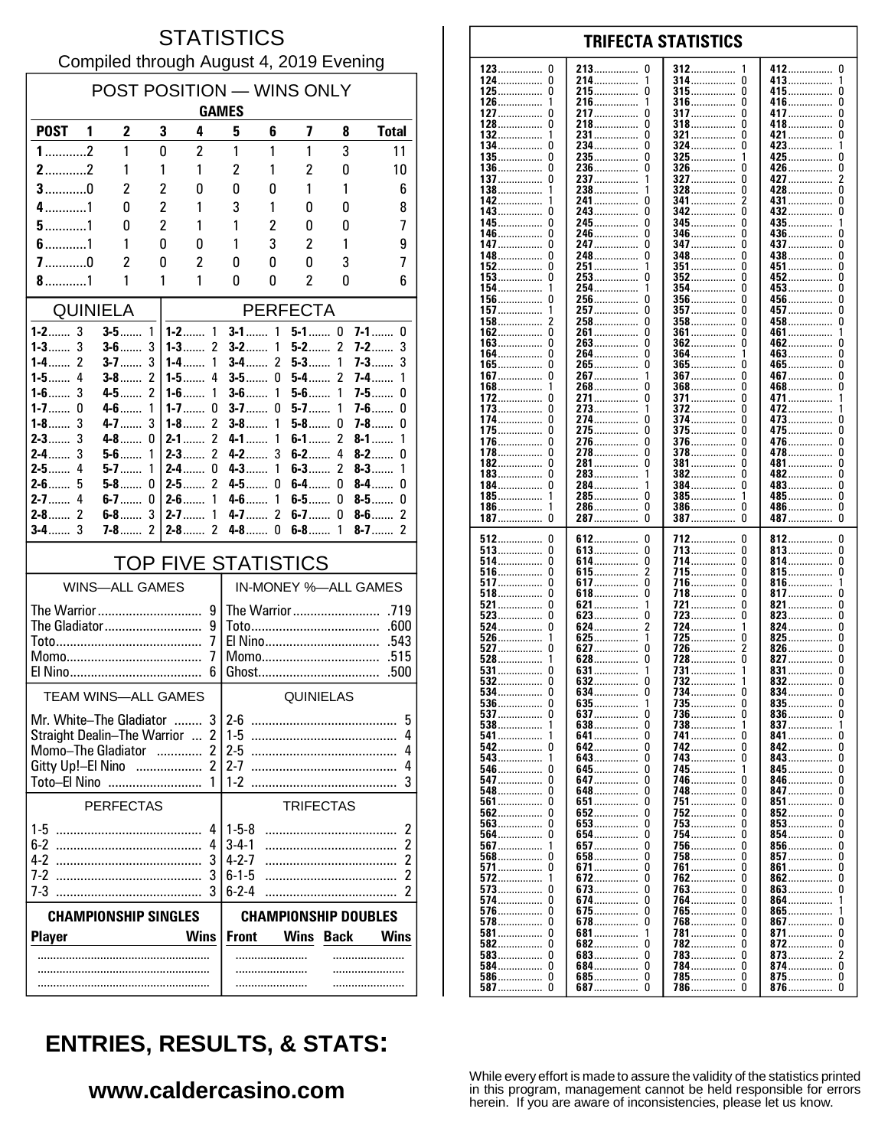#### **STATISTICS** Compiled through August 4, 2019 Evening

| POST POSITION - WINS ONLY<br><b>GAMES</b>                                                                                                                                                      |                              |                          |                                                    |                                                                                              |        |                     |                     |                          |
|------------------------------------------------------------------------------------------------------------------------------------------------------------------------------------------------|------------------------------|--------------------------|----------------------------------------------------|----------------------------------------------------------------------------------------------|--------|---------------------|---------------------|--------------------------|
| <b>POST</b>                                                                                                                                                                                    | $\overline{2}$<br>1          | 3                        | 4                                                  | 5                                                                                            | 6      | 7                   | 8                   | <b>Total</b>             |
| $1$ 2                                                                                                                                                                                          | 1                            | 0                        | 2                                                  | 1                                                                                            | 1      | 1                   | 3                   | 11                       |
| $2$ 2                                                                                                                                                                                          | 1                            | 1                        | 1                                                  | $\overline{c}$                                                                               | 1      | $\overline{c}$      | 0                   | 10                       |
| $3$ 0                                                                                                                                                                                          | 2                            | $\overline{2}$           | 0                                                  | 0                                                                                            | 0      | 1                   | 1                   | 6                        |
| $4$ 1                                                                                                                                                                                          | N                            | $\overline{c}$           | 1                                                  | 3                                                                                            | 1      | 0                   | 0                   | 8                        |
| $5$ 1                                                                                                                                                                                          | N                            | $\overline{2}$           | 1                                                  | 1                                                                                            | 2      | 0                   | 0                   | 7                        |
| $6$ 1<br>$7$ 0                                                                                                                                                                                 | 1<br>$\overline{\mathbf{c}}$ | 0<br>0                   | 0<br>2                                             | 1<br>0                                                                                       | 3<br>0 | $\overline{c}$<br>0 | 1<br>3              | 9<br>7                   |
| $8$ 1                                                                                                                                                                                          | 1                            | 1                        | 1                                                  | 0                                                                                            | 0      | 2                   | 0                   | 6                        |
| <b>QUINIELA</b><br><b>PERFECTA</b>                                                                                                                                                             |                              |                          |                                                    |                                                                                              |        |                     |                     |                          |
| $1 - 2$ 3                                                                                                                                                                                      | $3-5$                        | 1                        | $1-2$<br>$\mathbf{1}$                              | $3-1$                                                                                        | 1      | $5-1$ 0             |                     | $7-1$<br>0               |
| $1 - 3$ 3                                                                                                                                                                                      | $3-6$                        | 3                        | $1 - 3$<br>2                                       | $3-2$                                                                                        | 1      | $5-2$               | $\overline{2}$      | 7-2<br>3                 |
| 2<br>1-4…….<br>1-5……<br>4                                                                                                                                                                      | $3 - 7$<br>$3-8$             | 3<br>2                   | $1 - 4$<br>1<br>4<br>$1-5$                         | <b>3-4</b><br>$3-5$                                                                          | 2<br>0 | $5-3$<br>$5-4$      | 1<br>2              | 3<br>7-3……<br>7-4……<br>1 |
| 3<br>1-6 $\dots$                                                                                                                                                                               | $4 - 5$                      | $\overline{\mathcal{C}}$ | 1<br>$1-6$                                         | $3-6$                                                                                        | 1      | $5-6$               | 1                   | $7-5$<br>0               |
| $1 - 7$<br>0                                                                                                                                                                                   | $4-6$                        | 1                        | $1 - 7$<br>0                                       | $3-7$                                                                                        | 0      | $5-7$               | 1                   | $7-6$<br>0               |
| $1-8$<br>3<br>3<br>$2 - 3$                                                                                                                                                                     | $4 - 7$<br>$4-8$             | 3<br>0                   | $\overline{2}$<br>$1-8$<br>$\overline{2}$<br>2-1…… | $3 - 8$<br>4-1                                                                               | 1<br>1 | $5-8$<br>$6-1$      | 0<br>$\overline{c}$ | 7-8……<br>0<br>8-1<br>1   |
| 3<br>$2-4$                                                                                                                                                                                     | $5 - 6$                      | 1                        | 2<br>$2-3$                                         | $4 - 2$                                                                                      | 3      | $6-2$               | 4                   | $8-2$<br>0               |
| $2-5$<br>4                                                                                                                                                                                     | $5-7$                        | 1                        | $2-4$<br>0                                         | $4 - 3$                                                                                      | 1      | $6-3$               | $\overline{c}$      | $8-3$<br>1               |
| $2-6$<br>5<br>$2 - 7$<br>4                                                                                                                                                                     | $5-8$<br>$6-7$               | 0<br>0                   | 2<br>$2-5$<br>$2 - 6$<br>1                         | 4-5……<br>4-6                                                                                 | 0<br>1 | 6-4……<br>6-5……      | 0<br>0              | $8-4$<br>0<br>0<br>$8-5$ |
| $\mathcal{P}$<br>$2-8$                                                                                                                                                                         | $6-8$                        | 3                        | 1<br>$2 - 7$                                       | 4-7……                                                                                        | 2      | $6-7$               | 0                   | 2<br>$8-6$               |
| 3<br>$3-4$                                                                                                                                                                                     | <b>7-8</b>                   | 2                        | 2<br>$2 - 8$                                       | $4-8$                                                                                        | 0      | $6-8$               | 1                   | $8-7$<br>2               |
| <b>TOP FIVE STATISTICS</b>                                                                                                                                                                     |                              |                          |                                                    |                                                                                              |        |                     |                     |                          |
| <b>WINS-ALL GAMES</b>                                                                                                                                                                          |                              |                          |                                                    | IN-MONEY %-ALL GAMES                                                                         |        |                     |                     |                          |
| The Warrior<br>9<br>The Gladiator<br>9<br>7<br>7                                                                                                                                               |                              |                          | .600<br>El Nino<br>.543<br>Momo<br>.515            |                                                                                              |        |                     |                     |                          |
| .500<br>6                                                                                                                                                                                      |                              |                          |                                                    |                                                                                              |        |                     |                     |                          |
|                                                                                                                                                                                                | <b>TEAM WINS-ALL GAMES</b>   |                          |                                                    |                                                                                              |        | QUINIELAS           |                     |                          |
| 3<br>Mr. White–The Gladiator<br>Straight Dealin-The Warrior  2<br>Momo-The Gladiator<br>$\overline{2}$<br>.<br>$\overline{2}$<br>Gitty Up!-El Nino<br>$\overline{\phantom{a}}$<br>Toto-El Nino |                              |                          |                                                    | $2-6$<br>5<br>$1-5$<br>4<br>$2-5$<br>4<br>$2 - 7$<br>4<br>$1 - 2$<br>3                       |        |                     |                     |                          |
| <b>PERFECTAS</b>                                                                                                                                                                               |                              |                          |                                                    | <b>TRIFECTAS</b>                                                                             |        |                     |                     |                          |
| 4<br>4<br>3<br>7-2<br>3<br>7-3                                                                                                                                                                 |                              |                          |                                                    | $1-5-8$<br>2<br>2<br>$3 - 4 - 1$<br>2<br>$4 - 2 - 7$<br>$6 - 1 - 5$<br>2<br>$6 - 2 - 4$<br>2 |        |                     |                     |                          |
| <b>CHAMPIONSHIP SINGLES</b><br><b>CHAMPIONSHIP DOUBLES</b>                                                                                                                                     |                              |                          |                                                    |                                                                                              |        |                     |                     |                          |
| <b>Player</b>                                                                                                                                                                                  |                              |                          | <b>Wins</b>                                        | <b>Front</b>                                                                                 |        | Wins                | <b>Back</b>         | <b>Wins</b>              |
|                                                                                                                                                                                                |                              |                          |                                                    |                                                                                              |        |                     |                     |                          |

| 123 0                       | 0                               | -1                         | 412                     |
|-----------------------------|---------------------------------|----------------------------|-------------------------|
| 124……………<br>0               | 213<br>214……………                 | 312<br>314……………<br>0       | U<br>413<br>1           |
| 125……………                    | 215                             | <b>315</b>                 | 415                     |
| 0                           | 0                               | 0                          | U                       |
| 126                         | 216                             | <b>316</b><br>U            | 416……………<br>U           |
| 127                         | 217                             | <b>317</b>                 | 417                     |
| 0                           | 0                               | 0                          | 0                       |
| 128……………                    | 218……………                        | <b>318</b>                 | 418……………                |
| 0                           | 0                               | 0                          | 0                       |
| 132                         | 231                             | 321                        | 421                     |
|                             | 0                               | 0                          | 0                       |
| 134……………                    | 234……………                        | 324……………                   | 423……………                |
| 0                           | 0                               | 0                          | 1                       |
| $135$                       | 235                             | 325                        | 425                     |
| 0                           | 0                               | 1                          | 0                       |
| 136……………<br>0<br>137        | 236<br>0                        | $326 \ldots$<br>U          | 426……………<br>0<br>2      |
| 138……………                    | 237<br>1<br>238<br>1            | 327<br>0<br>$328$<br>0     | 427<br>428……………<br>0    |
| 142                         | 241……………                        | 341                        | 431                     |
| 1                           | 0                               | 2                          | 0                       |
| 143……………                    | 243……………                        | 342                        | 432……………                |
| 0                           | 0                               | U                          | 0                       |
| 145……………                    | 245……………                        | <b>345</b>                 | 435                     |
| 146……………                    | 246……………                        | <b>346</b>                 | 436……………                |
| 0                           | 0                               | 0                          | U                       |
| 147……………                    | 247……………                        | 347                        | 437                     |
| 0                           | 0                               | 0                          | 0                       |
| 148……………                    | 248……………                        | 348……………                   | 438……………                |
| 0                           |                                 | U                          | 0                       |
| 152                         | 251                             | <b>351 </b>                | 451<br>U                |
| 153                         | 253                             | $352$                      | 452                     |
| 0                           | 0                               | 0                          | U                       |
| 154                         | 254                             | 354                        | 453                     |
|                             | 1                               | 0                          | 0                       |
| 156                         | 256                             | $356$<br>0                 | 456……………<br>U           |
| 157                         | 257                             | <b>357</b>                 | 457<br>U                |
| $158$<br>2<br>162           | 258……………<br>0<br>261<br>0       | $358$<br>0                 | 458<br>0<br>1           |
| 163<br>0                    | 263<br>0                        | 361<br>$362$<br>0          | 461<br>462……………<br>U    |
| 164……………                    | 264                             | 364                        | 463                     |
| 0                           | 0                               |                            | U                       |
| 165                         | 265                             | $365$                      | 465                     |
| 0                           | 0                               | U                          | U                       |
| 167                         | 267                             | 367                        | 467                     |
| 0                           | 1                               | 0                          | 0                       |
| 168                         | 268                             | $368$                      | 468                     |
| 1                           | 0                               | 0                          | 0                       |
| 172                         | 271                             | 371                        | 471                     |
| 0                           | 0                               | 0                          | 1                       |
| 173                         | 273                             | $372$                      | 472                     |
| 0                           | 1                               | 0                          | 1                       |
| 174                         | 274……………                        | 374                        | 473                     |
| 0                           | 0                               | 0                          | 0                       |
| 175.                        | 275                             | <b>375</b>                 | 475                     |
| 0                           | 0                               | 0                          | 0                       |
| 176……………                    | 276……………                        | 376                        | 476……………                |
| 0                           | 0                               | U                          | 0                       |
| 178                         | 278                             | 378                        | 478……………                |
| 0                           | 0                               | 0                          | 0                       |
| 182                         | 281……………                        | <b>381</b>                 | 481……………                |
| 0                           | 0                               | U                          | 0                       |
| 183                         | 283                             | 382                        | 482                     |
|                             | 1                               | 0                          | 0                       |
| 184……………<br>0<br>$185$<br>1 | 284……………<br>1<br>0              | 384<br>0<br>1              | 483……………<br>0<br>0      |
| 186……………<br>1               | 285……………<br>286……………<br>0       | 385<br>$386 \ldots$<br>0   | 485<br>486……………<br>0    |
| 187……………<br>0               | 287                             | 387                        | 487<br>0                |
|                             |                                 |                            |                         |
|                             |                                 |                            |                         |
| 512                         | 612                             | 712                        | 812                     |
| 0                           | 0                               | 0                          | 0                       |
| <b>513</b>                  | 613                             | 713                        | 813                     |
| 0                           | 0                               | 0                          | 0                       |
| 514                         | 614                             | 714                        | 814                     |
| 0                           | 0                               | 0                          | 0                       |
| <b>516</b>                  | 615                             | 715                        | 815                     |
| 0                           |                                 | 0                          | U                       |
| 517                         | 617                             | 716                        | 816                     |
| 0                           | 0                               | 0                          | 1                       |
| <b>518</b>                  | 618……………                        | 718                        | 817……………                |
| 0                           | 0                               | 0                          | 0                       |
| 521<br>0                    | 621<br>1<br>0                   | 721<br>0<br>0              | 821<br>0<br>0           |
| 523<br>524<br>0             | 623<br>624                      | 723<br>724<br>1            | 823<br>824<br>0         |
| $526$                       | 625                             | 725                        | 825                     |
| 1                           | 1                               | 0                          | 0                       |
| 527                         | 627                             | 726                        | 826<br>0                |
| $528$                       | 628……………                        | 728<br>0                   | $827$<br>0              |
| $531$                       | 631                             | 731                        | 831                     |
| 0                           |                                 | 1                          | 0                       |
| 532                         | 632                             | 732<br>1                   | 832<br>0                |
| 534                         | 634                             | 734                        | 834                     |
| 0                           | 0                               | 0                          | 0                       |
| $536$                       | 635                             | 735……………                   | $835$                   |
| O                           |                                 | O                          | 0                       |
|                             | <b>637</b><br>0                 | 736  0                     | 836<br>U                |
| $538 \ldots$<br>1<br>541    | 638………………<br>0<br>641           | 738<br>1<br>741            | $837$<br>1              |
| 542<br>0                    | 642<br>0                        | 742                        | 841<br>842<br>U         |
| 543 1                       | 643                             | 743                        | 843<br>U                |
| <b>546</b>                  | 645……………                        | 745                        | 845……………                |
| 0                           | 0                               | 1                          | U                       |
| 547                         | 647                             | 746                        | 846<br>U                |
| 548                         | 648……………                        | 748                        | 847                     |
| 0                           | 0                               | U                          | U                       |
| <b>561</b>                  | <b>651</b>                      | 751                        | 851……………                |
| 0                           |                                 | U                          | U                       |
| 562                         | 652                             | 752                        | 852                     |
| 0                           | 0                               | U                          | U                       |
| $563$                       | $653$                           | <b>753</b>                 | $853$                   |
| 0                           | 0                               | U                          | U                       |
| 564                         | 654                             | 754                        | 854                     |
| 0                           | 0                               | U                          | U                       |
| 567                         | 657                             | 756                        | 856                     |
|                             | 0                               | U                          | U                       |
| 0                           | 658<br>0<br>0                   | 758<br>U<br>U              | $857$<br>U              |
| 571<br><b>572</b><br>1      | <b>671</b><br>672<br>0          | 761<br>U                   | 861<br>U<br>U           |
| 573<br>0                    | 673<br>0                        | 762<br>763<br>U            | 862<br>863<br>0         |
| 574                         | 674                             | 764                        | 864……………                |
| 0                           | 0                               | U                          | 1                       |
| 576                         | 675                             | 765                        | 865                     |
| 0                           | 0                               | U                          |                         |
| 578                         | 678……………                        | 768                        | 867                     |
| 0                           | 0                               | 0                          | 0                       |
| <b>581</b>                  | <b>681</b>                      | 781……………… 0                | 871                     |
| 0                           | 1                               |                            | U                       |
|                             | <b>682</b>                      | 782                        | 872                     |
|                             | 0                               | 0                          | U                       |
| $583 \ldots$                | <b>683</b>                      | 783                        | 873                     |
| 0                           | 0                               | U                          | 2                       |
| 584                         | 684……………                        | 784……………                   | 874……………                |
| 0                           | 0                               | 0                          | 0                       |
| <b>586</b><br>0             | <b>685</b><br>0<br><b>687</b> 0 | <b>785</b> 0<br>786…………… 0 | 875<br>0<br>876……………… 0 |

**TRIFECTA STATISTICS** 

# **ENTRIES, RESULTS, & STATS:**

#### www.caldercasino.com